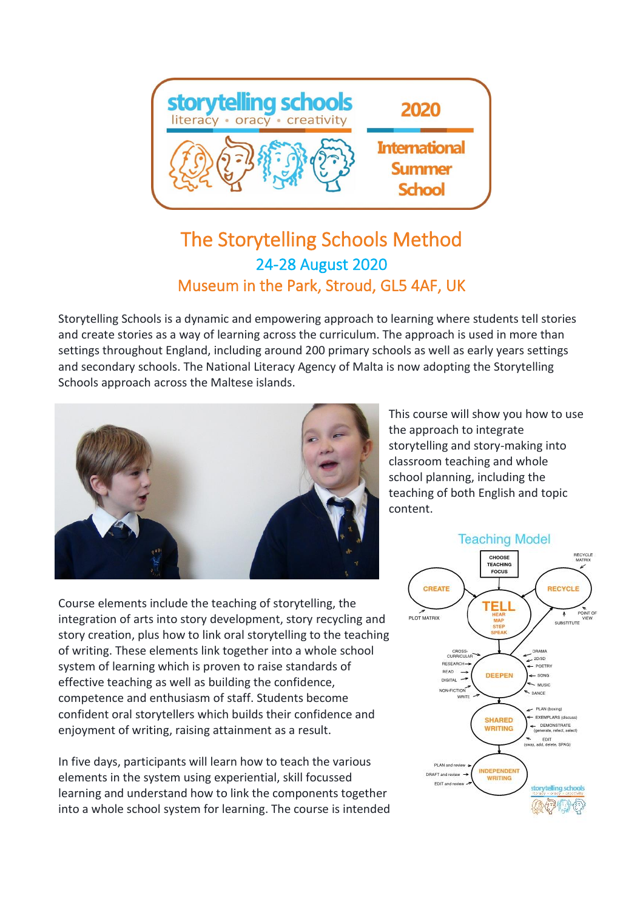

## The Storytelling Schools Method 24-28 August 2020 Museum in the Park, Stroud, GL5 4AF, UK

Storytelling Schools is a dynamic and empowering approach to learning where students tell stories and create stories as a way of learning across the curriculum. The approach is used in more than settings throughout England, including around 200 primary schools as well as early years settings and secondary schools. The National Literacy Agency of Malta is now adopting the Storytelling Schools approach across the Maltese islands.



Course elements include the teaching of storytelling, the integration of arts into story development, story recycling and story creation, plus how to link oral storytelling to the teaching of writing. These elements link together into a whole school system of learning which is proven to raise standards of effective teaching as well as building the confidence, competence and enthusiasm of staff. Students become confident oral storytellers which builds their confidence and enjoyment of writing, raising attainment as a result.

In five days, participants will learn how to teach the various elements in the system using experiential, skill focussed learning and understand how to link the components together into a whole school system for learning. The course is intended

This course will show you how to use the approach to integrate storytelling and story-making into classroom teaching and whole school planning, including the teaching of both English and topic content.

## **Teaching Model**